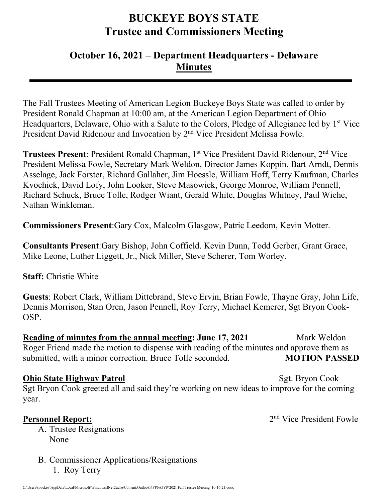# **BUCKEYE BOYS STATE Trustee and Commissioners Meeting**

## **October 16, 2021 – Department Headquarters - Delaware Minutes**

The Fall Trustees Meeting of American Legion Buckeye Boys State was called to order by President Ronald Chapman at 10:00 am, at the American Legion Department of Ohio Headquarters, Delaware, Ohio with a Salute to the Colors, Pledge of Allegiance led by 1<sup>st</sup> Vice President David Ridenour and Invocation by 2nd Vice President Melissa Fowle.

**Trustees Present**: President Ronald Chapman, 1st Vice President David Ridenour, 2nd Vice President Melissa Fowle, Secretary Mark Weldon, Director James Koppin, Bart Arndt, Dennis Asselage, Jack Forster, Richard Gallaher, Jim Hoessle, William Hoff, Terry Kaufman, Charles Kvochick, David Lofy, John Looker, Steve Masowick, George Monroe, William Pennell, Richard Schuck, Bruce Tolle, Rodger Wiant, Gerald White, Douglas Whitney, Paul Wiehe, Nathan Winkleman.

**Commissioners Present**:Gary Cox, Malcolm Glasgow, Patric Leedom, Kevin Motter.

**Consultants Present**:Gary Bishop, John Coffield. Kevin Dunn, Todd Gerber, Grant Grace, Mike Leone, Luther Liggett, Jr., Nick Miller, Steve Scherer, Tom Worley.

**Staff:** Christie White

**Guests**: Robert Clark, William Dittebrand, Steve Ervin, Brian Fowle, Thayne Gray, John Life, Dennis Morrison, Stan Oren, Jason Pennell, Roy Terry, Michael Kemerer, Sgt Bryon Cook-OSP.

**Reading of minutes from the annual meeting: June 17, 2021** Mark Weldon Roger Friend made the motion to dispense with reading of the minutes and approve them as submitted, with a minor correction. Bruce Tolle seconded. **MOTION PASSED** 

#### **Ohio State Highway Patrol** Sgt. Bryon Cook

Sgt Bryon Cook greeted all and said they're working on new ideas to improve for the coming year.

A. Trustee Resignations None

- B. Commissioner Applications/Resignations
	- 1. Roy Terry

**Personnel Report:** 2<sup>nd</sup> Vice President Fowle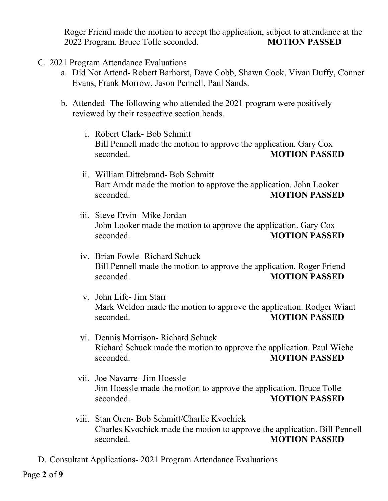Roger Friend made the motion to accept the application, subject to attendance at the 2022 Program. Bruce Tolle seconded. **MOTION PASSED**

- C. 2021 Program Attendance Evaluations
	- a. Did Not Attend- Robert Barhorst, Dave Cobb, Shawn Cook, Vivan Duffy, Conner Evans, Frank Morrow, Jason Pennell, Paul Sands.
	- b. Attended- The following who attended the 2021 program were positively reviewed by their respective section heads.
		- i. Robert Clark- Bob Schmitt Bill Pennell made the motion to approve the application. Gary Cox seconded. **MOTION PASSED**
		- ii. William Dittebrand- Bob Schmitt Bart Arndt made the motion to approve the application. John Looker seconded. **MOTION PASSED**
		- iii. Steve Ervin- Mike Jordan John Looker made the motion to approve the application. Gary Cox seconded. **MOTION PASSED**
		- iv. Brian Fowle- Richard Schuck Bill Pennell made the motion to approve the application. Roger Friend seconded. **MOTION PASSED**
		- v. John Life- Jim Starr Mark Weldon made the motion to approve the application. Rodger Wiant seconded. **MOTION PASSED**
		- vi. Dennis Morrison- Richard Schuck Richard Schuck made the motion to approve the application. Paul Wiehe seconded. **MOTION PASSED**
		- vii. Joe Navarre- Jim Hoessle Jim Hoessle made the motion to approve the application. Bruce Tolle seconded. **MOTION PASSED**
		- viii. Stan Oren- Bob Schmitt/Charlie Kvochick Charles Kvochick made the motion to approve the application. Bill Pennell seconded. **MOTION PASSED**

D. Consultant Applications- 2021 Program Attendance Evaluations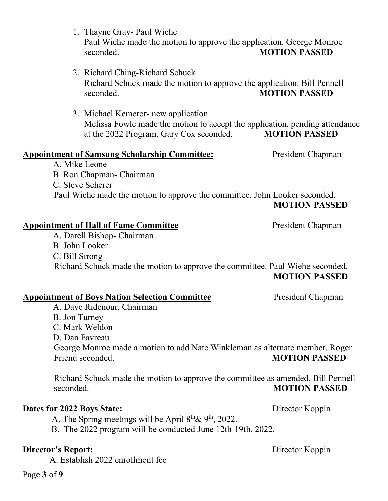- 1. Thayne Gray- Paul Wiehe Paul Wiehe made the motion to approve the application. George Monroe seconded. **MOTION PASSED**
- 2. Richard Ching-Richard Schuck Richard Schuck made the motion to approve the application. Bill Pennell seconded. **MOTION PASSED**
- 3. Michael Kemerer- new application Melissa Fowle made the motion to accept the application, pending attendance at the 2022 Program. Gary Cox seconded. **MOTION PASSED**

### **Appointment of Samsung Scholarship Committee:** President Chapman

- A. Mike Leone
- B. Ron Chapman- Chairman
- C. Steve Scherer

Paul Wiehe made the motion to approve the committee. John Looker seconded.

## **MOTION PASSED**

## **Appointment of Hall of Fame Committee President Chapman**

- A. Darell Bishop- Chairman
- B. John Looker
- C. Bill Strong

 Richard Schuck made the motion to approve the committee. Paul Wiehe seconded. **MOTION PASSED**

## **Appointment of Boys Nation Selection Committee President Chapman**

- A. Dave Ridenour, Chairman
- B. Jon Turney
- C. Mark Weldon
- D. Dan Favreau

 George Monroe made a motion to add Nate Winkleman as alternate member. Roger Friend seconded. **MOTION PASSED** 

 Richard Schuck made the motion to approve the committee as amended. Bill Pennell seconded. **MOTION PASSED**

## **Dates for 2022 Boys State:** Director Koppin

A. The Spring meetings will be April  $8<sup>th</sup> \& 9<sup>th</sup>$ , 2022.

B. The 2022 program will be conducted June 12th-19th, 2022.

## **Director's Report:** Director Koppin

A. Establish 2022 enrollment fee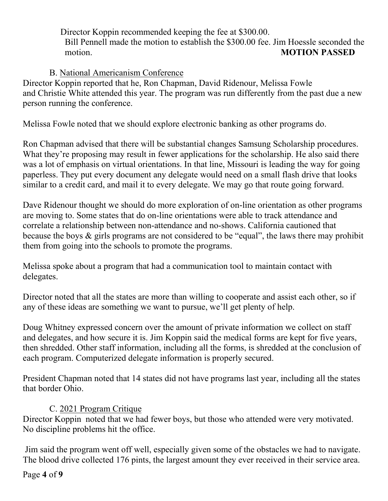Director Koppin recommended keeping the fee at \$300.00. Bill Pennell made the motion to establish the \$300.00 fee. Jim Hoessle seconded the motion. **MOTION PASSED**

#### B. National Americanism Conference

Director Koppin reported that he, Ron Chapman, David Ridenour, Melissa Fowle and Christie White attended this year. The program was run differently from the past due a new person running the conference.

Melissa Fowle noted that we should explore electronic banking as other programs do.

Ron Chapman advised that there will be substantial changes Samsung Scholarship procedures. What they're proposing may result in fewer applications for the scholarship. He also said there was a lot of emphasis on virtual orientations. In that line, Missouri is leading the way for going paperless. They put every document any delegate would need on a small flash drive that looks similar to a credit card, and mail it to every delegate. We may go that route going forward.

Dave Ridenour thought we should do more exploration of on-line orientation as other programs are moving to. Some states that do on-line orientations were able to track attendance and correlate a relationship between non-attendance and no-shows. California cautioned that because the boys & girls programs are not considered to be "equal", the laws there may prohibit them from going into the schools to promote the programs.

Melissa spoke about a program that had a communication tool to maintain contact with delegates.

Director noted that all the states are more than willing to cooperate and assist each other, so if any of these ideas are something we want to pursue, we'll get plenty of help.

Doug Whitney expressed concern over the amount of private information we collect on staff and delegates, and how secure it is. Jim Koppin said the medical forms are kept for five years, then shredded. Other staff information, including all the forms, is shredded at the conclusion of each program. Computerized delegate information is properly secured.

President Chapman noted that 14 states did not have programs last year, including all the states that border Ohio.

### C. 2021 Program Critique

Director Koppin noted that we had fewer boys, but those who attended were very motivated. No discipline problems hit the office.

Jim said the program went off well, especially given some of the obstacles we had to navigate. The blood drive collected 176 pints, the largest amount they ever received in their service area.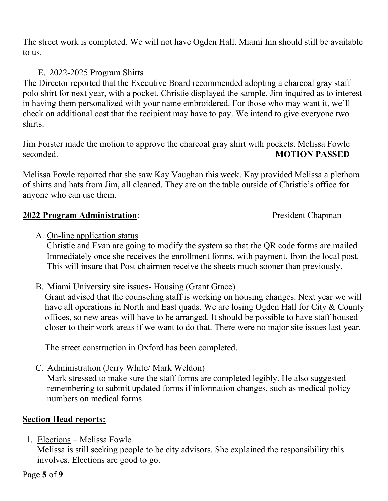The street work is completed. We will not have Ogden Hall. Miami Inn should still be available to us.

### E. 2022-2025 Program Shirts

The Director reported that the Executive Board recommended adopting a charcoal gray staff polo shirt for next year, with a pocket. Christie displayed the sample. Jim inquired as to interest in having them personalized with your name embroidered. For those who may want it, we'll check on additional cost that the recipient may have to pay. We intend to give everyone two shirts.

Jim Forster made the motion to approve the charcoal gray shirt with pockets. Melissa Fowle seconded. **MOTION PASSED**

Melissa Fowle reported that she saw Kay Vaughan this week. Kay provided Melissa a plethora of shirts and hats from Jim, all cleaned. They are on the table outside of Christie's office for anyone who can use them.

### **2022 Program Administration**: President Chapman

### A. On-line application status

 Christie and Evan are going to modify the system so that the QR code forms are mailed Immediately once she receives the enrollment forms, with payment, from the local post. This will insure that Post chairmen receive the sheets much sooner than previously.

B. Miami University site issues- Housing (Grant Grace)

 Grant advised that the counseling staff is working on housing changes. Next year we will have all operations in North and East quads. We are losing Ogden Hall for City & County offices, so new areas will have to be arranged. It should be possible to have staff housed closer to their work areas if we want to do that. There were no major site issues last year.

The street construction in Oxford has been completed.

C. Administration (Jerry White/ Mark Weldon)

Mark stressed to make sure the staff forms are completed legibly. He also suggested remembering to submit updated forms if information changes, such as medical policy numbers on medical forms.

### **Section Head reports:**

1. Elections – Melissa Fowle

 Melissa is still seeking people to be city advisors. She explained the responsibility this involves. Elections are good to go.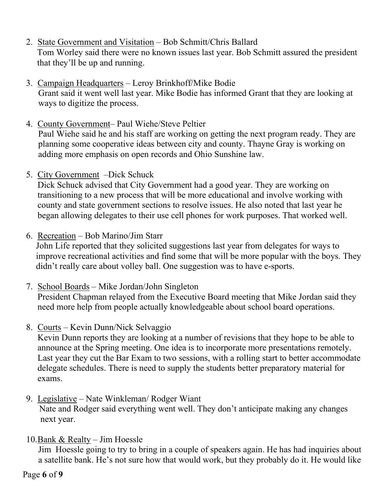- 2. State Government and Visitation Bob Schmitt/Chris Ballard Tom Worley said there were no known issues last year. Bob Schmitt assured the president that they'll be up and running.
- 3. Campaign Headquarters Leroy Brinkhoff/Mike Bodie Grant said it went well last year. Mike Bodie has informed Grant that they are looking at ways to digitize the process.
- 4. County Government– Paul Wiehe/Steve Peltier Paul Wiehe said he and his staff are working on getting the next program ready. They are planning some cooperative ideas between city and county. Thayne Gray is working on adding more emphasis on open records and Ohio Sunshine law.
- 5. City Government –Dick Schuck

Dick Schuck advised that City Government had a good year. They are working on transitioning to a new process that will be more educational and involve working with county and state government sections to resolve issues. He also noted that last year he began allowing delegates to their use cell phones for work purposes. That worked well.

6. Recreation – Bob Marino/Jim Starr

 John Life reported that they solicited suggestions last year from delegates for ways to improve recreational activities and find some that will be more popular with the boys. They didn't really care about volley ball. One suggestion was to have e-sports.

7. School Boards – Mike Jordan/John Singleton

President Chapman relayed from the Executive Board meeting that Mike Jordan said they need more help from people actually knowledgeable about school board operations.

8. Courts – Kevin Dunn/Nick Selvaggio

Kevin Dunn reports they are looking at a number of revisions that they hope to be able to announce at the Spring meeting. One idea is to incorporate more presentations remotely. Last year they cut the Bar Exam to two sessions, with a rolling start to better accommodate delegate schedules. There is need to supply the students better preparatory material for exams.

- 9. Legislative Nate Winkleman/ Rodger Wiant Nate and Rodger said everything went well. They don't anticipate making any changes next year.
- 10.Bank & Realty Jim Hoessle

 Jim Hoessle going to try to bring in a couple of speakers again. He has had inquiries about a satellite bank. He's not sure how that would work, but they probably do it. He would like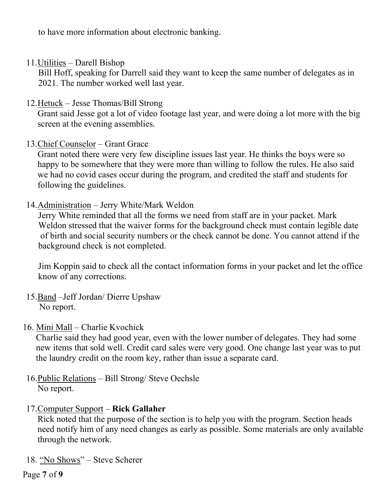to have more information about electronic banking.

11.Utilities – Darell Bishop

 Bill Hoff, speaking for Darrell said they want to keep the same number of delegates as in 2021. The number worked well last year.

12.Hetuck – Jesse Thomas/Bill Strong

Grant said Jesse got a lot of video footage last year, and were doing a lot more with the big screen at the evening assemblies.

13.Chief Counselor – Grant Grace

Grant noted there were very few discipline issues last year. He thinks the boys were so happy to be somewhere that they were more than willing to follow the rules. He also said we had no covid cases occur during the program, and credited the staff and students for following the guidelines.

14.Administration – Jerry White/Mark Weldon

 Jerry White reminded that all the forms we need from staff are in your packet. Mark Weldon stressed that the waiver forms for the background check must contain legible date of birth and social security numbers or the check cannot be done. You cannot attend if the background check is not completed.

 Jim Koppin said to check all the contact information forms in your packet and let the office know of any corrections.

- 15. Band –Jeff Jordan/ Dierre Upshaw No report.
- 16. Mini Mall Charlie Kvochick

 Charlie said they had good year, even with the lower number of delegates. They had some new items that sold well. Credit card sales were very good. One change last year was to put the laundry credit on the room key, rather than issue a separate card.

- 16.Public Relations Bill Strong/ Steve Oechsle No report.
- 17.Computer Support **Rick Gallaher**

Rick noted that the purpose of the section is to help you with the program. Section heads need notify him of any need changes as early as possible. Some materials are only available through the network.

18. "No Shows" – Steve Scherer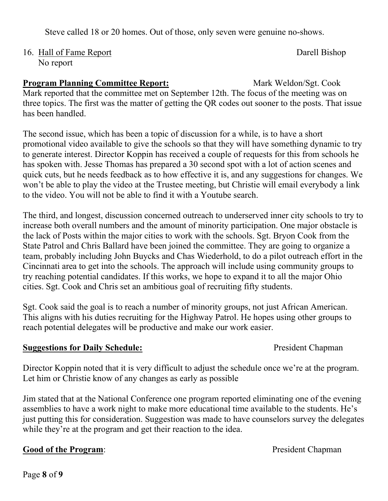Page **8** of **9**

Steve called 18 or 20 homes. Out of those, only seven were genuine no-shows.

16. Hall of Fame Report Darell Bishop No report

## **Program Planning Committee Report:** Mark Weldon/Sgt. Cook

Mark reported that the committee met on September 12th. The focus of the meeting was on three topics. The first was the matter of getting the QR codes out sooner to the posts. That issue has been handled.

The second issue, which has been a topic of discussion for a while, is to have a short promotional video available to give the schools so that they will have something dynamic to try to generate interest. Director Koppin has received a couple of requests for this from schools he has spoken with. Jesse Thomas has prepared a 30 second spot with a lot of action scenes and quick cuts, but he needs feedback as to how effective it is, and any suggestions for changes. We won't be able to play the video at the Trustee meeting, but Christie will email everybody a link to the video. You will not be able to find it with a Youtube search.

The third, and longest, discussion concerned outreach to underserved inner city schools to try to increase both overall numbers and the amount of minority participation. One major obstacle is the lack of Posts within the major cities to work with the schools. Sgt. Bryon Cook from the State Patrol and Chris Ballard have been joined the committee. They are going to organize a team, probably including John Buycks and Chas Wiederhold, to do a pilot outreach effort in the Cincinnati area to get into the schools. The approach will include using community groups to try reaching potential candidates. If this works, we hope to expand it to all the major Ohio cities. Sgt. Cook and Chris set an ambitious goal of recruiting fifty students.

Sgt. Cook said the goal is to reach a number of minority groups, not just African American. This aligns with his duties recruiting for the Highway Patrol. He hopes using other groups to reach potential delegates will be productive and make our work easier.

## **Suggestions for Daily Schedule:** President Chapman

Director Koppin noted that it is very difficult to adjust the schedule once we're at the program. Let him or Christie know of any changes as early as possible

Jim stated that at the National Conference one program reported eliminating one of the evening assemblies to have a work night to make more educational time available to the students. He's just putting this for consideration. Suggestion was made to have counselors survey the delegates while they're at the program and get their reaction to the idea.

## **Good of the Program:** President Chapman